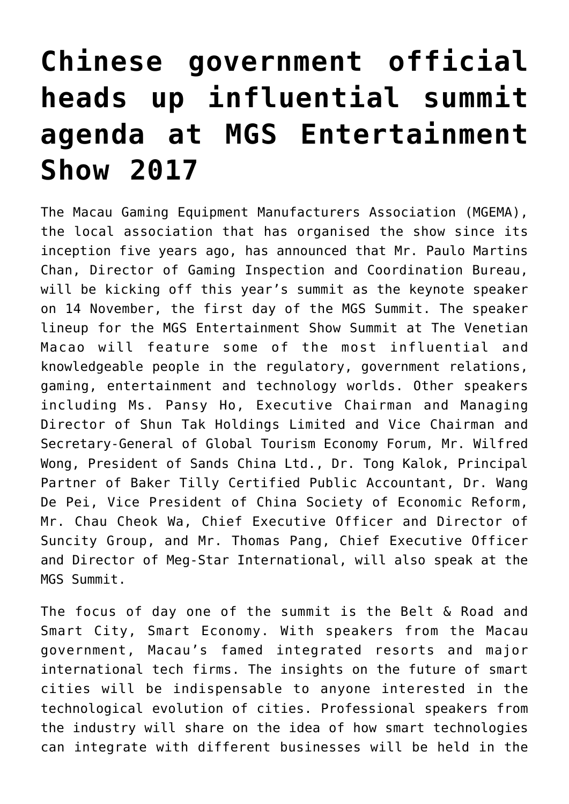## **[Chinese government official](https://www.isa-guide.de/isa-messen/isa-messen-englisch/articles/170341.html) [heads up influential summit](https://www.isa-guide.de/isa-messen/isa-messen-englisch/articles/170341.html) [agenda at MGS Entertainment](https://www.isa-guide.de/isa-messen/isa-messen-englisch/articles/170341.html) [Show 2017](https://www.isa-guide.de/isa-messen/isa-messen-englisch/articles/170341.html)**

The Macau Gaming Equipment Manufacturers Association (MGEMA), the local association that has organised the show since its inception five years ago, has announced that Mr. Paulo Martins Chan, Director of Gaming Inspection and Coordination Bureau, will be kicking off this year's summit as the keynote speaker on 14 November, the first day of the MGS Summit. The speaker lineup for the MGS Entertainment Show Summit at The Venetian Macao will feature some of the most influential and knowledgeable people in the regulatory, government relations, gaming, entertainment and technology worlds. Other speakers including Ms. Pansy Ho, Executive Chairman and Managing Director of Shun Tak Holdings Limited and Vice Chairman and Secretary-General of Global Tourism Economy Forum, Mr. Wilfred Wong, President of Sands China Ltd., Dr. Tong Kalok, Principal Partner of Baker Tilly Certified Public Accountant, Dr. Wang De Pei, Vice President of China Society of Economic Reform, Mr. Chau Cheok Wa, Chief Executive Officer and Director of Suncity Group, and Mr. Thomas Pang, Chief Executive Officer and Director of Meg-Star International, will also speak at the MGS Summit.

The focus of day one of the summit is the Belt & Road and Smart City, Smart Economy. With speakers from the Macau government, Macau's famed integrated resorts and major international tech firms. The insights on the future of smart cities will be indispensable to anyone interested in the technological evolution of cities. Professional speakers from the industry will share on the idea of how smart technologies can integrate with different businesses will be held in the